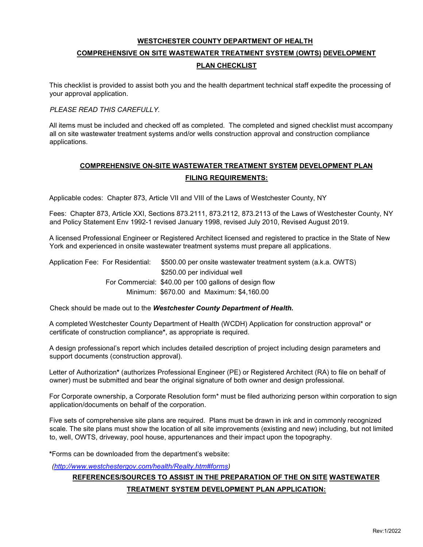# **WESTCHESTER COUNTY DEPARTMENT OF HEALTH**

# **COMPREHENSIVE ON SITE WASTEWATER TREATMENT SYSTEM (OWTS) DEVELOPMENT PLAN CHECKLIST**

 your approval application. This checklist is provided to assist both you and the health department technical staff expedite the processing of

# *PLEASE READ THIS CAREFULLY.*

 all on site wastewater treatment systems and/or wells construction approval and construction compliance All items must be included and checked off as completed. The completed and signed checklist must accompany applications.

# **COMPREHENSIVE ON-SITE WASTEWATER TREATMENT SYSTEM DEVELOPMENT PLAN FILING REQUIREMENTS:**

Applicable codes: Chapter 873, Article VII and VIII of the Laws of Westchester County, NY

 Fees: Chapter 873, Article XXI, Sections 873.2111, 873.2112, 873.2113 of the Laws of Westchester County, NY and Policy Statement Env 1992-1 revised January 1998, revised July 2010, Revised August 2019.

A licensed Professional Engineer or Registered Architect licensed and registered to practice in the State of New York and experienced in onsite wastewater treatment systems must prepare all applications.

Application Fee: For Residential: \$500.00 per onsite wastewater treatment system (a.k.a. OWTS) \$250.00 per individual well For Commercial: \$40.00 per 100 gallons of design flow Minimum: \$670.00 and Maximum: \$[4,160.00](https://4,160.00)

Check should be made out to the *Westchester County Department of Health.* 

 certificate of construction compliance**\***, as appropriate is required. A completed Westchester County Department of Health (WCDH) Application for construction approval\* or

A design professional's report which includes detailed description of project including design parameters and support documents (construction approval).

Letter of Authorization**\*** (authorizes Professional Engineer (PE) or Registered Architect (RA) to file on behalf of owner) must be submitted and bear the original signature of both owner and design professional.

For Corporate ownership, a Corporate Resolution form\* must be filed authorizing person within corporation to sign application/documents on behalf of the corporation.

 Five sets of comprehensive site plans are required. Plans must be drawn in ink and in commonly recognized scale. The site plans must show the location of all site improvements (existing and new) including, but not limited to, well, OWTS, driveway, pool house, appurtenances and their impact upon the topography.

**\***Forms can be downloaded from the department's website:

*[\(http://www.westchestergov.com/health/Realty.htm#forms\)](http://www.westchestergov.com/health/Realty.htm#forms)* 

# **REFERENCES/SOURCES TO ASSIST IN THE PREPARATION OF THE ON SITE WASTEWATER TREATMENT SYSTEM DEVELOPMENT PLAN APPLICATION:**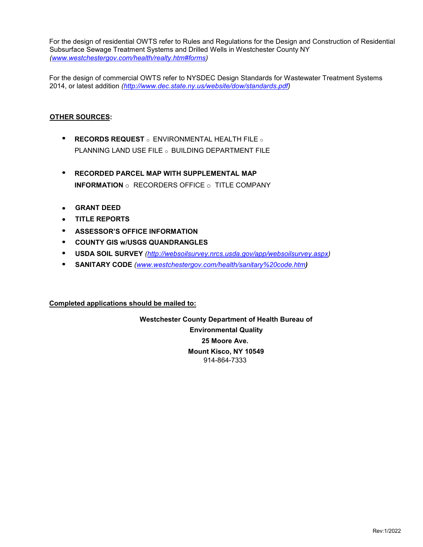For the design of residential OWTS refer to Rules and Regulations for the Design and Construction of Residential Subsurface Sewage Treatment Systems and Drilled Wells in Westchester County NY *[\(www.westchestergov.com/health/realty.htm#forms\)](http://www.westchestergov.com/health/realty.htm#forms)* 

For the design of commercial OWTS refer to NYSDEC Design Standards for Wastewater Treatment Systems 2014, or latest addition *[\(http://www.dec.state.ny.us/website/dow/standards.pdf\)](http://www.dec.state.ny.us/website/dow/standards.pdf)* 

# **OTHER SOURCES:**

- **RECORDS REQUEST** o ENVIRONMENTAL HEALTH FILE o PLANNING LAND USE FILE **o** BUILDING DEPARTMENT FILE
- **RECORDED PARCEL MAP WITH SUPPLEMENTAL MAP INFORMATION** o RECORDERS OFFICE o TITLE COMPANY
- **GRANT DEED**
- **TITLE REPORTS**
- **ASSESSOR'S OFFICE INFORMATION** •
- **COUNTY GIS W/USGS QUANDRANGLES** •
- **USDASOIL SURVEY** (http://websoilsurvey.nrcs.usda.gov/app/websoilsurvey.aspx)
- **SANITARY CODE** *[\(www.westchestergov.com/health/sanitary%20code.htm](http://www.westchestergov.com/health/sanitary%20code.htm)[\)](http://www.westchestergov.com/health/sanitary%20code.htm)*

**Completed applications should be mailed to:** 

**Westchester County Department of Health Bureau of Environmental Quality 25 Moore Ave. Mount Kisco, NY 10549**  914-864-7333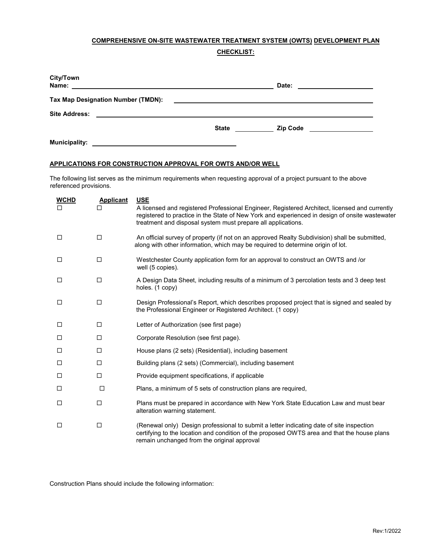## **COMPREHENSIVE ON-SITE WASTEWATER TREATMENT SYSTEM (OWTS) DEVELOPMENT PLAN**

**CHECKLIST:** 

| City/Town<br>Name:<br><u> 1989 - Johann Stein, mars an deutscher Stein († 1989)</u>                                                          |                                                                                                                       | Date:           |  |
|----------------------------------------------------------------------------------------------------------------------------------------------|-----------------------------------------------------------------------------------------------------------------------|-----------------|--|
| Tax Map Designation Number (TMDN):                                                                                                           | <u> 1989 - John Stein, mars and der Stein and der Stein and der Stein and der Stein and der Stein and der Stein a</u> |                 |  |
| <b>Site Address:</b><br><u> 1989 - John Stein, marking and de broad and de broad and de broad and de broad and de broad and de broad and</u> |                                                                                                                       |                 |  |
|                                                                                                                                              | <b>State</b>                                                                                                          | <b>Zip Code</b> |  |
| <b>Municipality:</b>                                                                                                                         |                                                                                                                       |                 |  |

# **Municipality: APPLICATIONS FOR CONSTRUCTION APPROVAL FOR OWTS AND/OR WELL**

The following list serves as the minimum requirements when requesting approval of a project pursuant to the above referenced provisions.

| <b>WCHD</b><br>П | <b>Applicant</b> | <b>USE</b><br>A licensed and registered Professional Engineer, Registered Architect, licensed and currently<br>registered to practice in the State of New York and experienced in design of onsite wastewater<br>treatment and disposal system must prepare all applications. |
|------------------|------------------|-------------------------------------------------------------------------------------------------------------------------------------------------------------------------------------------------------------------------------------------------------------------------------|
| $\Box$           | □                | An official survey of property (if not on an approved Realty Subdivision) shall be submitted,<br>along with other information, which may be required to determine origin of lot.                                                                                              |
| $\Box$           | □                | Westchester County application form for an approval to construct an OWTS and /or<br>well (5 copies).                                                                                                                                                                          |
| □                | □                | A Design Data Sheet, including results of a minimum of 3 percolation tests and 3 deep test<br>holes. (1 copy)                                                                                                                                                                 |
| □                | $\Box$           | Design Professional's Report, which describes proposed project that is signed and sealed by<br>the Professional Engineer or Registered Architect. (1 copy)                                                                                                                    |
| $\Box$           | □                | Letter of Authorization (see first page)                                                                                                                                                                                                                                      |
| □                | □                | Corporate Resolution (see first page).                                                                                                                                                                                                                                        |
| □                | $\Box$           | House plans (2 sets) (Residential), including basement                                                                                                                                                                                                                        |
| □                | $\Box$           | Building plans (2 sets) (Commercial), including basement                                                                                                                                                                                                                      |
| $\Box$           | $\Box$           | Provide equipment specifications, if applicable                                                                                                                                                                                                                               |
| □                | $\Box$           | Plans, a minimum of 5 sets of construction plans are required,                                                                                                                                                                                                                |
| $\Box$           | $\Box$           | Plans must be prepared in accordance with New York State Education Law and must bear<br>alteration warning statement.                                                                                                                                                         |
| $\Box$           | □                | (Renewal only) Design professional to submit a letter indicating date of site inspection<br>certifying to the location and condition of the proposed OWTS area and that the house plans<br>remain unchanged from the original approval                                        |

Construction Plans should include the following information: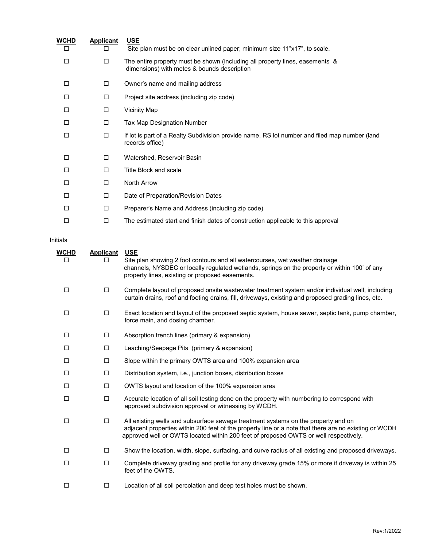| <b>WCHD</b> | <b>Applicant</b> | <u>USE</u>                                                                                                                  |
|-------------|------------------|-----------------------------------------------------------------------------------------------------------------------------|
| □           | □                | Site plan must be on clear unlined paper; minimum size 11"x17", to scale.                                                   |
| □           | □                | The entire property must be shown (including all property lines, easements &<br>dimensions) with metes & bounds description |
| $\Box$      | □                | Owner's name and mailing address                                                                                            |
| П           | □                | Project site address (including zip code)                                                                                   |
| П           | □                | <b>Vicinity Map</b>                                                                                                         |
| П           | □                | Tax Map Designation Number                                                                                                  |
| □           | □                | If lot is part of a Realty Subdivision provide name, RS lot number and filed map number (land<br>records office)            |
| □           | $\Box$           | Watershed, Reservoir Basin                                                                                                  |
| П           | □                | Title Block and scale                                                                                                       |
| □           | □                | North Arrow                                                                                                                 |
| П           | $\Box$           | Date of Preparation/Revision Dates                                                                                          |
| П           | □                | Preparer's Name and Address (including zip code)                                                                            |
| □           | □                | The estimated start and finish dates of construction applicable to this approval                                            |
|             |                  |                                                                                                                             |

# **Initials**

| <u>WCHD</u><br>□ | <b>Applicant</b><br>ப | <b>USE</b><br>Site plan showing 2 foot contours and all watercourses, wet weather drainage<br>channels, NYSDEC or locally regulated wetlands, springs on the property or within 100' of any<br>property lines, existing or proposed easements.                                     |
|------------------|-----------------------|------------------------------------------------------------------------------------------------------------------------------------------------------------------------------------------------------------------------------------------------------------------------------------|
| $\Box$           | $\Box$                | Complete layout of proposed onsite wastewater treatment system and/or individual well, including<br>curtain drains, roof and footing drains, fill, driveways, existing and proposed grading lines, etc.                                                                            |
| □                | $\Box$                | Exact location and layout of the proposed septic system, house sewer, septic tank, pump chamber,<br>force main, and dosing chamber.                                                                                                                                                |
| $\Box$           | $\Box$                | Absorption trench lines (primary & expansion)                                                                                                                                                                                                                                      |
| □                | $\Box$                | Leaching/Seepage Pits (primary & expansion)                                                                                                                                                                                                                                        |
| □                | $\Box$                | Slope within the primary OWTS area and 100% expansion area                                                                                                                                                                                                                         |
| □                | $\Box$                | Distribution system, i.e., junction boxes, distribution boxes                                                                                                                                                                                                                      |
| □                | $\Box$                | OWTS layout and location of the 100% expansion area                                                                                                                                                                                                                                |
| □                | $\Box$                | Accurate location of all soil testing done on the property with numbering to correspond with<br>approved subdivision approval or witnessing by WCDH.                                                                                                                               |
| $\Box$           | $\Box$                | All existing wells and subsurface sewage treatment systems on the property and on<br>adjacent properties within 200 feet of the property line or a note that there are no existing or WCDH<br>approved well or OWTS located within 200 feet of proposed OWTS or well respectively. |
| □                | □                     | Show the location, width, slope, surfacing, and curve radius of all existing and proposed driveways.                                                                                                                                                                               |
| □                | $\Box$                | Complete driveway grading and profile for any driveway grade 15% or more if driveway is within 25<br>feet of the OWTS.                                                                                                                                                             |
| □                | $\Box$                | Location of all soil percolation and deep test holes must be shown.                                                                                                                                                                                                                |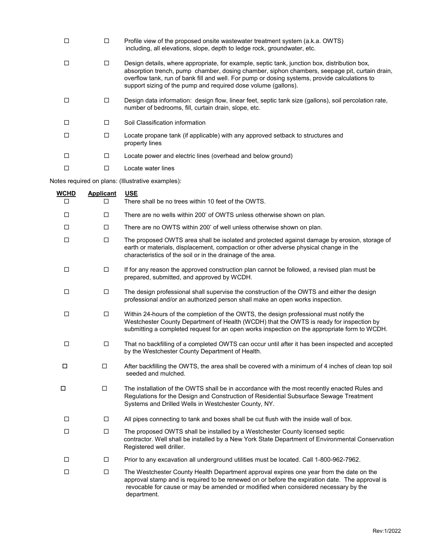|   |   | Profile view of the proposed onsite wastewater treatment system (a.k.a. OWTS)<br>including, all elevations, slope, depth to ledge rock, groundwater, etc.                                                                                                                                                                                                        |
|---|---|------------------------------------------------------------------------------------------------------------------------------------------------------------------------------------------------------------------------------------------------------------------------------------------------------------------------------------------------------------------|
|   | п | Design details, where appropriate, for example, septic tank, junction box, distribution box,<br>absorption trench, pump chamber, dosing chamber, siphon chambers, seepage pit, curtain drain,<br>overflow tank, run of bank fill and well. For pump or dosing systems, provide calculations to<br>support sizing of the pump and required dose volume (gallons). |
|   | □ | Design data information: design flow, linear feet, septic tank size (gallons), soil percolation rate,<br>number of bedrooms, fill, curtain drain, slope, etc.                                                                                                                                                                                                    |
| П | П | Soil Classification information                                                                                                                                                                                                                                                                                                                                  |
|   | □ | Locate propane tank (if applicable) with any approved setback to structures and<br>property lines                                                                                                                                                                                                                                                                |
|   | □ | Locate power and electric lines (overhead and below ground)                                                                                                                                                                                                                                                                                                      |
|   |   | Locate water lines                                                                                                                                                                                                                                                                                                                                               |

Notes required on plans: (Illustrative examples):

| <b>WCHD</b> | <b>Applicant</b> | <b>USE</b>                                                                                                                                                                                                                                                                                     |
|-------------|------------------|------------------------------------------------------------------------------------------------------------------------------------------------------------------------------------------------------------------------------------------------------------------------------------------------|
| п           | П                | There shall be no trees within 10 feet of the OWTS.                                                                                                                                                                                                                                            |
| □           | □                | There are no wells within 200' of OWTS unless otherwise shown on plan.                                                                                                                                                                                                                         |
| □           | □                | There are no OWTS within 200' of well unless otherwise shown on plan.                                                                                                                                                                                                                          |
| □           | □                | The proposed OWTS area shall be isolated and protected against damage by erosion, storage of<br>earth or materials, displacement, compaction or other adverse physical change in the<br>characteristics of the soil or in the drainage of the area.                                            |
| □           | □                | If for any reason the approved construction plan cannot be followed, a revised plan must be<br>prepared, submitted, and approved by WCDH.                                                                                                                                                      |
| □           | $\Box$           | The design professional shall supervise the construction of the OWTS and either the design<br>professional and/or an authorized person shall make an open works inspection.                                                                                                                    |
| □           | □                | Within 24-hours of the completion of the OWTS, the design professional must notify the<br>Westchester County Department of Health (WCDH) that the OWTS is ready for inspection by<br>submitting a completed request for an open works inspection on the appropriate form to WCDH.              |
| □           | $\Box$           | That no backfilling of a completed OWTS can occur until after it has been inspected and accepted<br>by the Westchester County Department of Health.                                                                                                                                            |
| □           | $\Box$           | After backfilling the OWTS, the area shall be covered with a minimum of 4 inches of clean top soil<br>seeded and mulched.                                                                                                                                                                      |
| □           | $\Box$           | The installation of the OWTS shall be in accordance with the most recently enacted Rules and<br>Regulations for the Design and Construction of Residential Subsurface Sewage Treatment<br>Systems and Drilled Wells in Westchester County, NY.                                                 |
| □           | □                | All pipes connecting to tank and boxes shall be cut flush with the inside wall of box.                                                                                                                                                                                                         |
| □           | $\Box$           | The proposed OWTS shall be installed by a Westchester County licensed septic<br>contractor. Well shall be installed by a New York State Department of Environmental Conservation<br>Registered well driller.                                                                                   |
| □           | □                | Prior to any excavation all underground utilities must be located. Call 1-800-962-7962.                                                                                                                                                                                                        |
| □           | □                | The Westchester County Health Department approval expires one year from the date on the<br>approval stamp and is required to be renewed on or before the expiration date. The approval is<br>revocable for cause or may be amended or modified when considered necessary by the<br>department. |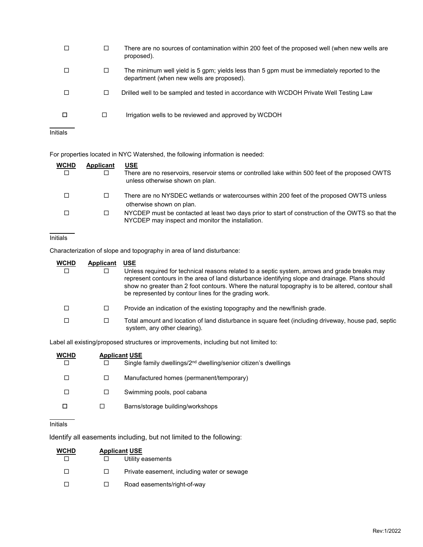|                 |        | There are no sources of contamination within 200 feet of the proposed well (when new wells are<br>proposed).                             |
|-----------------|--------|------------------------------------------------------------------------------------------------------------------------------------------|
|                 | □      | The minimum well yield is 5 gpm; yields less than 5 gpm must be immediately reported to the<br>department (when new wells are proposed). |
|                 | $\Box$ | Drilled well to be sampled and tested in accordance with WCDOH Private Well Testing Law                                                  |
| □               | □      | Irrigation wells to be reviewed and approved by WCDOH                                                                                    |
| <b>Initials</b> |        |                                                                                                                                          |

For properties located in NYC Watershed, the following information is needed:

| <b>WCHD</b><br>□ | Applicant | <b>USE</b><br>There are no reservoirs, reservoir stems or controlled lake within 500 feet of the proposed OWTS<br>unless otherwise shown on plan.     |
|------------------|-----------|-------------------------------------------------------------------------------------------------------------------------------------------------------|
| □                |           | There are no NYSDEC wetlands or watercourses within 200 feet of the proposed OWTS unless<br>otherwise shown on plan.                                  |
| $\Box$           |           | NYCDEP must be contacted at least two days prior to start of construction of the OWTS so that the<br>NYCDEP may inspect and monitor the installation. |

## Initials

Characterization of slope and topography in area of land disturbance:

| <b>WCHD</b><br>П | Applicant | <b>USE</b><br>Unless required for technical reasons related to a septic system, arrows and grade breaks may<br>represent contours in the area of land disturbance identifying slope and drainage. Plans should<br>show no greater than 2 foot contours. Where the natural topography is to be altered, contour shall<br>be represented by contour lines for the grading work. |
|------------------|-----------|-------------------------------------------------------------------------------------------------------------------------------------------------------------------------------------------------------------------------------------------------------------------------------------------------------------------------------------------------------------------------------|
| П                |           | Provide an indication of the existing topography and the new/finish grade.                                                                                                                                                                                                                                                                                                    |
| П                |           | Total amount and location of land disturbance in square feet (including driveway, house pad, septic<br>system, any other clearing).                                                                                                                                                                                                                                           |

Label all existing/proposed structures or improvements, including but not limited to:

| WCHD |    | <b>Applicant USE</b>                                                        |  |
|------|----|-----------------------------------------------------------------------------|--|
|      |    | Single family dwellings/2 <sup>nd</sup> dwelling/senior citizen's dwellings |  |
|      | ΙI | Manufactured homes (permanent/temporary)                                    |  |
|      | ப  | Swimming pools, pool cabana                                                 |  |
|      |    | Barns/storage building/workshops                                            |  |
|      |    |                                                                             |  |

# **Initials**

Identify all easements including, but not limited to the following:

| <b>WCHD</b> | <b>Applicant USE</b> |                                             |
|-------------|----------------------|---------------------------------------------|
|             | $\perp$              | Utility easements                           |
| H           | $\mathbf{L}$         | Private easement, including water or sewage |
|             | $\mathbf{1}$         | Road easements/right-of-way                 |